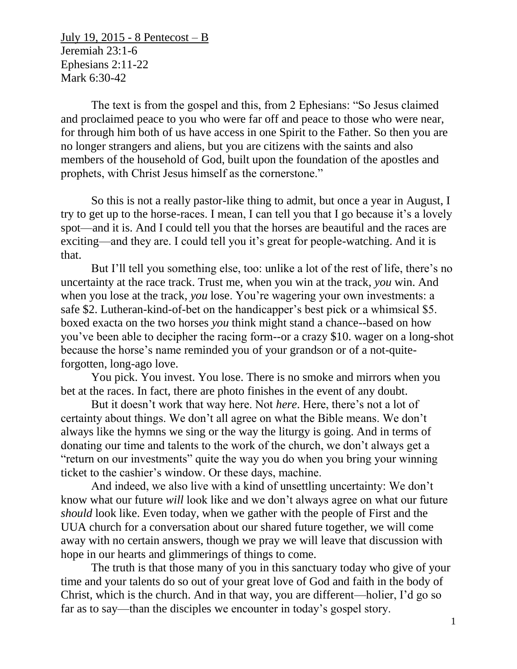July 19, 2015 - 8 Pentecost – B Jeremiah 23:1-6 Ephesians 2:11-22 Mark 6:30-42

The text is from the gospel and this, from 2 Ephesians: "So Jesus claimed and proclaimed peace to you who were far off and peace to those who were near, for through him both of us have access in one Spirit to the Father. So then you are no longer strangers and aliens, but you are citizens with the saints and also members of the household of God, built upon the foundation of the apostles and prophets, with Christ Jesus himself as the cornerstone."

So this is not a really pastor-like thing to admit, but once a year in August, I try to get up to the horse-races. I mean, I can tell you that I go because it's a lovely spot—and it is. And I could tell you that the horses are beautiful and the races are exciting—and they are. I could tell you it's great for people-watching. And it is that.

But I'll tell you something else, too: unlike a lot of the rest of life, there's no uncertainty at the race track. Trust me, when you win at the track, *you* win. And when you lose at the track, *you* lose. You're wagering your own investments: a safe \$2. Lutheran-kind-of-bet on the handicapper's best pick or a whimsical \$5. boxed exacta on the two horses *you* think might stand a chance--based on how you've been able to decipher the racing form--or a crazy \$10. wager on a long-shot because the horse's name reminded you of your grandson or of a not-quiteforgotten, long-ago love.

You pick. You invest. You lose. There is no smoke and mirrors when you bet at the races. In fact, there are photo finishes in the event of any doubt.

But it doesn't work that way here. Not *here*. Here, there's not a lot of certainty about things. We don't all agree on what the Bible means. We don't always like the hymns we sing or the way the liturgy is going. And in terms of donating our time and talents to the work of the church, we don't always get a "return on our investments" quite the way you do when you bring your winning ticket to the cashier's window. Or these days, machine.

And indeed, we also live with a kind of unsettling uncertainty: We don't know what our future *will* look like and we don't always agree on what our future *should* look like. Even today, when we gather with the people of First and the UUA church for a conversation about our shared future together, we will come away with no certain answers, though we pray we will leave that discussion with hope in our hearts and glimmerings of things to come.

The truth is that those many of you in this sanctuary today who give of your time and your talents do so out of your great love of God and faith in the body of Christ, which is the church. And in that way, you are different—holier, I'd go so far as to say—than the disciples we encounter in today's gospel story.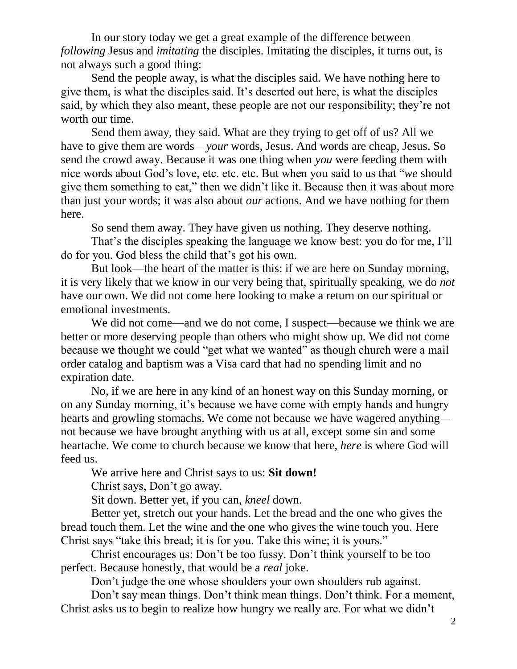In our story today we get a great example of the difference between *following* Jesus and *imitating* the disciples. Imitating the disciples, it turns out, is not always such a good thing:

Send the people away, is what the disciples said. We have nothing here to give them, is what the disciples said. It's deserted out here, is what the disciples said, by which they also meant, these people are not our responsibility; they're not worth our time.

Send them away, they said. What are they trying to get off of us? All we have to give them are words—*your* words, Jesus. And words are cheap, Jesus. So send the crowd away. Because it was one thing when *you* were feeding them with nice words about God's love, etc. etc. etc. But when you said to us that "*we* should give them something to eat," then we didn't like it. Because then it was about more than just your words; it was also about *our* actions. And we have nothing for them here.

So send them away. They have given us nothing. They deserve nothing.

That's the disciples speaking the language we know best: you do for me, I'll do for you. God bless the child that's got his own.

But look—the heart of the matter is this: if we are here on Sunday morning, it is very likely that we know in our very being that, spiritually speaking, we do *not* have our own. We did not come here looking to make a return on our spiritual or emotional investments.

We did not come—and we do not come, I suspect—because we think we are better or more deserving people than others who might show up. We did not come because we thought we could "get what we wanted" as though church were a mail order catalog and baptism was a Visa card that had no spending limit and no expiration date.

No, if we are here in any kind of an honest way on this Sunday morning, or on any Sunday morning, it's because we have come with empty hands and hungry hearts and growling stomachs. We come not because we have wagered anything not because we have brought anything with us at all, except some sin and some heartache. We come to church because we know that here, *here* is where God will feed us.

We arrive here and Christ says to us: **Sit down!**

Christ says, Don't go away.

Sit down. Better yet, if you can, *kneel* down.

Better yet, stretch out your hands. Let the bread and the one who gives the bread touch them. Let the wine and the one who gives the wine touch you. Here Christ says "take this bread; it is for you. Take this wine; it is yours."

Christ encourages us: Don't be too fussy. Don't think yourself to be too perfect. Because honestly, that would be a *real* joke.

Don't judge the one whose shoulders your own shoulders rub against.

Don't say mean things. Don't think mean things. Don't think. For a moment, Christ asks us to begin to realize how hungry we really are. For what we didn't